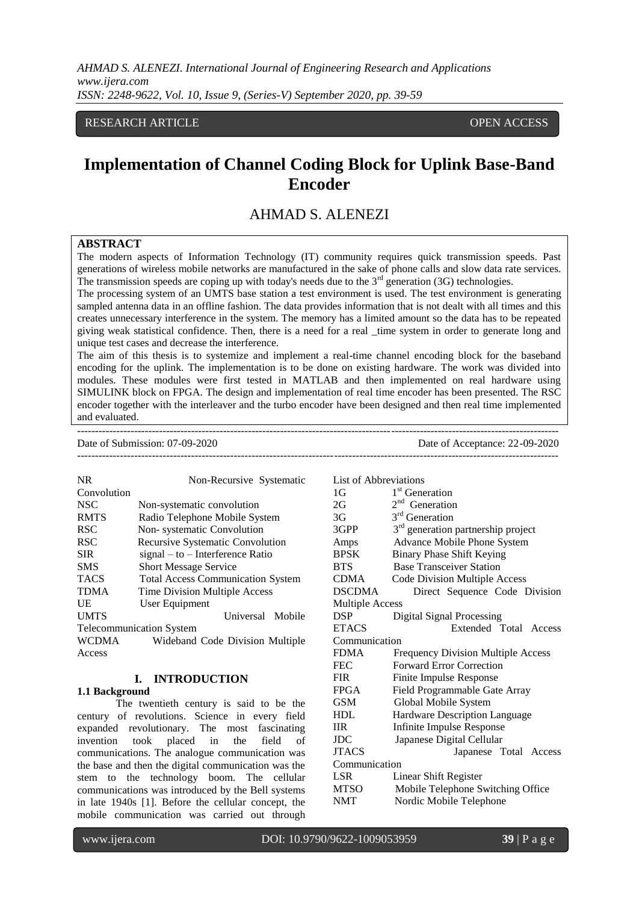RESEARCH ARTICLE **CONTRACT ARTICLE** AND A SERVICE OPEN ACCESS

# **Implementation of Channel Coding Block for Uplink Base-Band Encoder**

# AHMAD S. ALENEZI

# **ABSTRACT**

The modern aspects of Information Technology (IT) community requires quick transmission speeds. Past generations of wireless mobile networks are manufactured in the sake of phone calls and slow data rate services. The transmission speeds are coping up with today's needs due to the  $3<sup>rd</sup>$  generation (3G) technologies.

The processing system of an UMTS base station a test environment is used. The test environment is generating sampled antenna data in an offline fashion. The data provides information that is not dealt with all times and this creates unnecessary interference in the system. The memory has a limited amount so the data has to be repeated giving weak statistical confidence. Then, there is a need for a real \_time system in order to generate long and unique test cases and decrease the interference.

The aim of this thesis is to systemize and implement a real-time channel encoding block for the baseband encoding for the uplink. The implementation is to be done on existing hardware. The work was divided into modules. These modules were first tested in MATLAB and then implemented on real hardware using SIMULINK block on FPGA. The design and implementation of real time encoder has been presented. The RSC encoder together with the interleaver and the turbo encoder have been designed and then real time implemented and evaluated.

---------------------------------------------------------------------------------------------------------------------------------------

Date of Submission: 07-09-2020 Date of Acceptance: 22-09-2020 ---------------------------------------------------------------------------------------------------------------------------------------

NR Non-Recursive Systematic Convolution NSC Non-systematic convolution RMTS Radio Telephone Mobile System RSC Non- systematic Convolution RSC Recursive Systematic Convolution SIR signal – to – Interference Ratio SMS Short Message Service TACS Total Access Communication System TDMA Time Division Multiple Access UE User Equipment UMTS Universal Mobile Telecommunication System WCDMA Wideband Code Division Multiple Access

### **I. INTRODUCTION**

#### **1.1 Background**

The twentieth century is said to be the century of revolutions. Science in every field expanded revolutionary. The most fascinating invention took placed in the field of communications. The analogue communication was the base and then the digital communication was the stem to the technology boom. The cellular communications was introduced by the Bell systems in late 1940s [1]. Before the cellular concept, the mobile communication was carried out through

| <b>List of Abbreviations</b> |                                                |  |  |  |
|------------------------------|------------------------------------------------|--|--|--|
| 1G                           | 1 <sup>st</sup> Generation                     |  |  |  |
| 2G                           | 2 <sup>nd</sup> Generation                     |  |  |  |
| 3G                           | 3 <sup>rd</sup> Generation                     |  |  |  |
| 3GPP                         | 3 <sup>rd</sup> generation partnership project |  |  |  |
| Amps                         | Advance Mobile Phone System                    |  |  |  |
| <b>BPSK</b>                  | <b>Binary Phase Shift Keying</b>               |  |  |  |
| <b>BTS</b>                   | <b>Base Transceiver Station</b>                |  |  |  |
| <b>CDMA</b>                  | Code Division Multiple Access                  |  |  |  |
| <b>DSCDMA</b>                | Direct Sequence Code Division                  |  |  |  |
| <b>Multiple Access</b>       |                                                |  |  |  |
| <b>DSP</b>                   | <b>Digital Signal Processing</b>               |  |  |  |
| <b>ETACS</b>                 | Extended Total Access                          |  |  |  |
| Communication                |                                                |  |  |  |
| <b>FDMA</b>                  | <b>Frequency Division Multiple Access</b>      |  |  |  |
| <b>FEC</b>                   | <b>Forward Error Correction</b>                |  |  |  |
| <b>FIR</b>                   | Finite Impulse Response                        |  |  |  |
| FPGA                         | Field Programmable Gate Array                  |  |  |  |
| GSM                          | Global Mobile System                           |  |  |  |
| <b>HDL</b>                   | Hardware Description Language                  |  |  |  |
| <b>IIR</b>                   | Infinite Impulse Response                      |  |  |  |
| $_{\rm JDC}$                 | Japanese Digital Cellular                      |  |  |  |
| <b>JTACS</b>                 | Japanese Total Access                          |  |  |  |
| Communication                |                                                |  |  |  |
| LSR                          | Linear Shift Register                          |  |  |  |
| <b>MTSO</b>                  | Mobile Telephone Switching Office              |  |  |  |
| NMT                          | Nordic Mobile Telephone                        |  |  |  |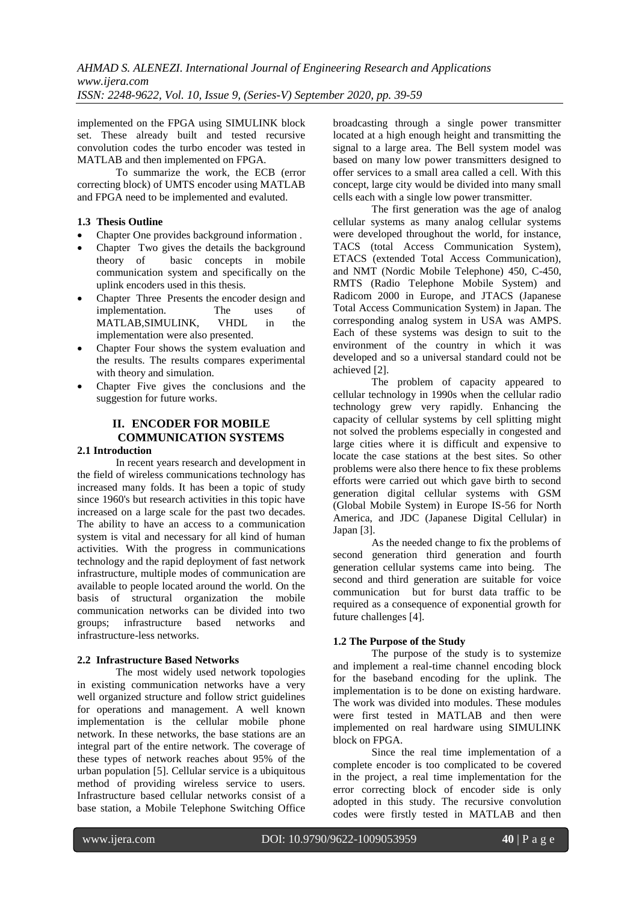implemented on the FPGA using SIMULINK block set. These already built and tested recursive convolution codes the turbo encoder was tested in MATLAB and then implemented on FPGA.

To summarize the work, the ECB (error correcting block) of UMTS encoder using MATLAB and FPGA need to be implemented and evaluted.

# **1.3 Thesis Outline**

- Chapter One provides background information .
- Chapter Two gives the details the background theory of basic concepts in mobile communication system and specifically on the uplink encoders used in this thesis.
- Chapter Three Presents the encoder design and implementation. The uses of MATLAB,SIMULINK, VHDL in the implementation were also presented.
- Chapter Four shows the system evaluation and the results. The results compares experimental with theory and simulation.
- Chapter Five gives the conclusions and the suggestion for future works.

# **II. ENCODER FOR MOBILE COMMUNICATION SYSTEMS**

# **2.1 Introduction**

In recent years research and development in the field of wireless communications technology has increased many folds. It has been a topic of study since 1960's but research activities in this topic have increased on a large scale for the past two decades. The ability to have an access to a communication system is vital and necessary for all kind of human activities. With the progress in communications technology and the rapid deployment of fast network infrastructure, multiple modes of communication are available to people located around the world. On the basis of structural organization the mobile communication networks can be divided into two groups; infrastructure based networks and infrastructure-less networks.

### **2.2 Infrastructure Based Networks**

The most widely used network topologies in existing communication networks have a very well organized structure and follow strict guidelines for operations and management. A well known implementation is the cellular mobile phone network. In these networks, the base stations are an integral part of the entire network. The coverage of these types of network reaches about 95% of the urban population [5]. Cellular service is a ubiquitous method of providing wireless service to users. Infrastructure based cellular networks consist of a base station, a Mobile Telephone Switching Office

broadcasting through a single power transmitter located at a high enough height and transmitting the signal to a large area. The Bell system model was based on many low power transmitters designed to offer services to a small area called a cell. With this concept, large city would be divided into many small cells each with a single low power transmitter.

The first generation was the age of analog cellular systems as many analog cellular systems were developed throughout the world, for instance, TACS (total Access Communication System), ETACS (extended Total Access Communication), and NMT (Nordic Mobile Telephone) 450, C-450, RMTS (Radio Telephone Mobile System) and Radicom 2000 in Europe, and JTACS (Japanese Total Access Communication System) in Japan. The corresponding analog system in USA was AMPS. Each of these systems was design to suit to the environment of the country in which it was developed and so a universal standard could not be achieved [2].

The problem of capacity appeared to cellular technology in 1990s when the cellular radio technology grew very rapidly. Enhancing the capacity of cellular systems by cell splitting might not solved the problems especially in congested and large cities where it is difficult and expensive to locate the case stations at the best sites. So other problems were also there hence to fix these problems efforts were carried out which gave birth to second generation digital cellular systems with GSM (Global Mobile System) in Europe IS-56 for North America, and JDC (Japanese Digital Cellular) in Japan [3].

As the needed change to fix the problems of second generation third generation and fourth generation cellular systems came into being. The second and third generation are suitable for voice communication but for burst data traffic to be required as a consequence of exponential growth for future challenges [4].

# **1.2 The Purpose of the Study**

The purpose of the study is to systemize and implement a real-time channel encoding block for the baseband encoding for the uplink. The implementation is to be done on existing hardware. The work was divided into modules. These modules were first tested in MATLAB and then were implemented on real hardware using SIMULINK block on FPGA.

Since the real time implementation of a complete encoder is too complicated to be covered in the project, a real time implementation for the error correcting block of encoder side is only adopted in this study. The recursive convolution codes were firstly tested in MATLAB and then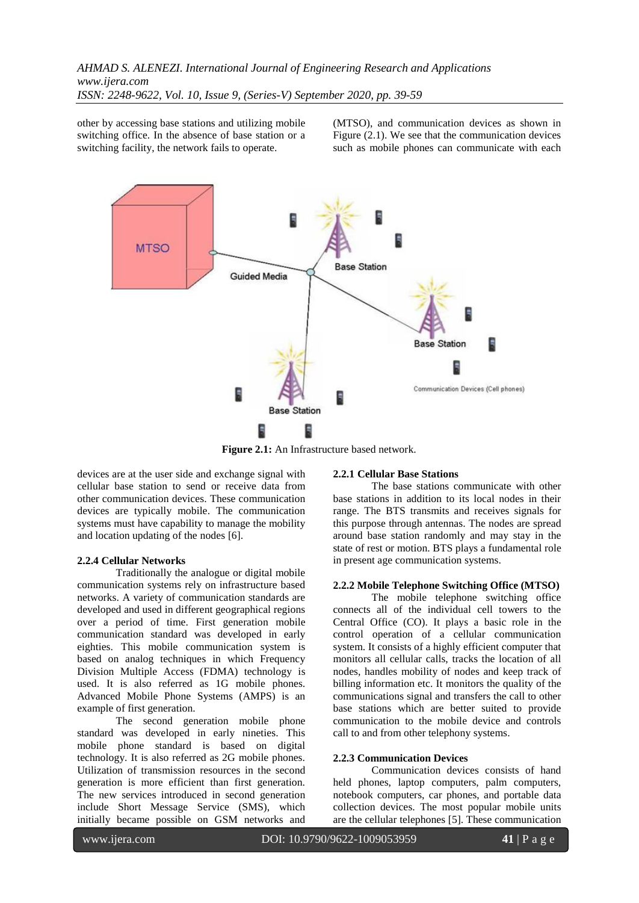other by accessing base stations and utilizing mobile switching office. In the absence of base station or a switching facility, the network fails to operate.

(MTSO), and communication devices as shown in Figure (2.1). We see that the communication devices such as mobile phones can communicate with each



**Figure 2.1:** An Infrastructure based network.

devices are at the user side and exchange signal with cellular base station to send or receive data from other communication devices. These communication devices are typically mobile. The communication systems must have capability to manage the mobility and location updating of the nodes [6].

### **2.2.4 Cellular Networks**

Traditionally the analogue or digital mobile communication systems rely on infrastructure based networks. A variety of communication standards are developed and used in different geographical regions over a period of time. First generation mobile communication standard was developed in early eighties. This mobile communication system is based on analog techniques in which Frequency Division Multiple Access (FDMA) technology is used. It is also referred as 1G mobile phones. Advanced Mobile Phone Systems (AMPS) is an example of first generation.

The second generation mobile phone standard was developed in early nineties. This mobile phone standard is based on digital technology. It is also referred as 2G mobile phones. Utilization of transmission resources in the second generation is more efficient than first generation. The new services introduced in second generation include Short Message Service (SMS), which initially became possible on GSM networks and

#### **2.2.1 Cellular Base Stations**

The base stations communicate with other base stations in addition to its local nodes in their range. The BTS transmits and receives signals for this purpose through antennas. The nodes are spread around base station randomly and may stay in the state of rest or motion. BTS plays a fundamental role in present age communication systems.

### **2.2.2 Mobile Telephone Switching Office (MTSO)**

The mobile telephone switching office connects all of the individual cell towers to the Central Office (CO). It plays a basic role in the control operation of a cellular communication system. It consists of a highly efficient computer that monitors all cellular calls, tracks the location of all nodes, handles mobility of nodes and keep track of billing information etc. It monitors the quality of the communications signal and transfers the call to other base stations which are better suited to provide communication to the mobile device and controls call to and from other telephony systems.

#### **2.2.3 Communication Devices**

Communication devices consists of hand held phones, laptop computers, palm computers, notebook computers, car phones, and portable data collection devices. The most popular mobile units are the cellular telephones [5]. These communication

www.ijera.com DOI: 10.9790/9622-1009053959 **41** | P a g e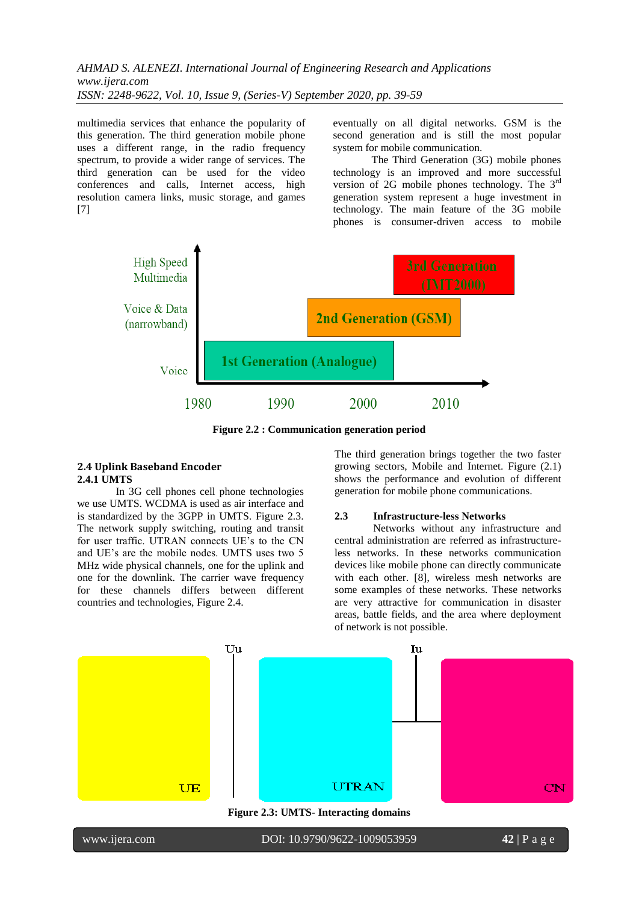multimedia services that enhance the popularity of this generation. The third generation mobile phone uses a different range, in the radio frequency spectrum, to provide a wider range of services. The third generation can be used for the video conferences and calls, Internet access, high resolution camera links, music storage, and games [7]

eventually on all digital networks. GSM is the second generation and is still the most popular system for mobile communication.

The Third Generation (3G) mobile phones technology is an improved and more successful version of 2G mobile phones technology. The 3rd generation system represent a huge investment in technology. The main feature of the 3G mobile phones is consumer-driven access to mobile



**Figure 2.2 : Communication generation period**

### **2.4 Uplink Baseband Encoder 2.4.1 UMTS**

In 3G cell phones cell phone technologies we use UMTS. WCDMA is used as air interface and is standardized by the 3GPP in UMTS. Figure 2.3. The network supply switching, routing and transit for user traffic. UTRAN connects UE's to the CN and UE's are the mobile nodes. UMTS uses two 5 MHz wide physical channels, one for the uplink and one for the downlink. The carrier wave frequency for these channels differs between different countries and technologies, Figure 2.4.

The third generation brings together the two faster growing sectors, Mobile and Internet. Figure (2.1) shows the performance and evolution of different generation for mobile phone communications.

### **2.3 Infrastructure-less Networks**

Networks without any infrastructure and central administration are referred as infrastructureless networks. In these networks communication devices like mobile phone can directly communicate with each other. [8], wireless mesh networks are some examples of these networks. These networks are very attractive for communication in disaster areas, battle fields, and the area where deployment of network is not possible.

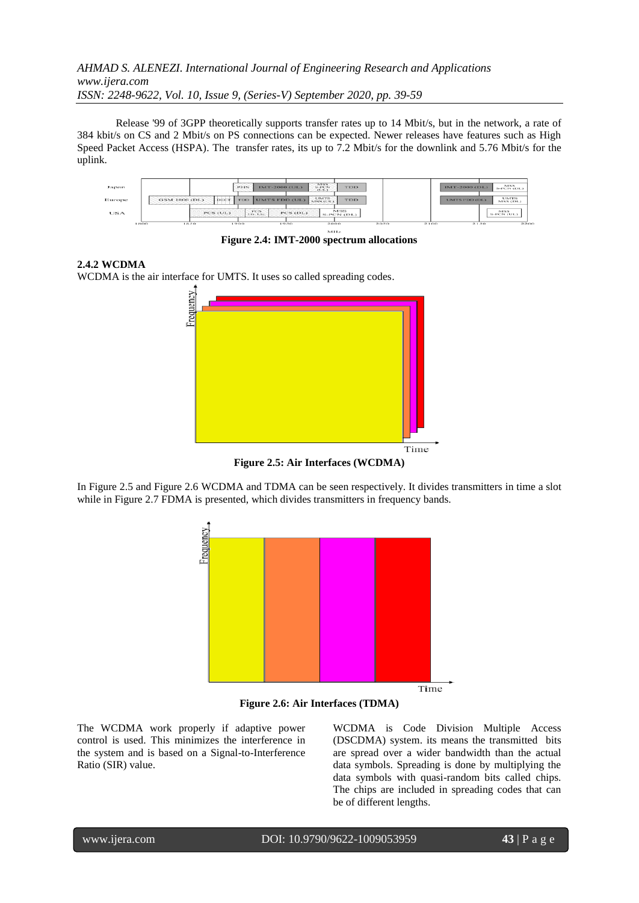Release '99 of 3GPP theoretically supports transfer rates up to 14 Mbit/s, but in the network, a rate of 384 kbit/s on CS and 2 Mbit/s on PS connections can be expected. Newer releases have features such as High Speed Packet Access (HSPA). The transfer rates, its up to 7.2 Mbit/s for the downlink and 5.76 Mbit/s for the uplink.

| Japan      |                        | <b>NISS</b><br><b>IMT-2000 (UL)</b><br><b>TDD</b><br><b>P1156</b><br>$N-PA'N$<br>$-1111-1$ | MSS.<br>IMT-2000 (DL)<br>S-PCN (DL)             |
|------------|------------------------|--------------------------------------------------------------------------------------------|-------------------------------------------------|
| Europe     | GSM 1800 (DL)<br>DECT. | <b>UMTS</b><br>UMTS FDD (UL)<br><b>TDD</b><br><b>TDD</b><br>MSS (UL)                       | <b>UMTS</b><br><b>UMTS FDD (DL)</b><br>MSS (DL) |
| <b>USA</b> | <b>PCS (UL)</b>        | MSS<br>TCS<br>PCS (DL)<br>On Lie.<br>S-PCN (DL)                                            | MSS.<br>S-PCN (UL)                              |

 $M<sub>H<sub>2</sub></sub>$ **Figure 2.4: IMT-2000 spectrum allocations**

# **2.4.2 WCDMA**

WCDMA is the air interface for UMTS. It uses so called spreading codes.



**Figure 2.5: Air Interfaces (WCDMA)**

In Figure 2.5 and Figure 2.6 WCDMA and TDMA can be seen respectively. It divides transmitters in time a slot while in Figure 2.7 FDMA is presented, which divides transmitters in frequency bands.



**Figure 2.6: Air Interfaces (TDMA)**

The WCDMA work properly if adaptive power control is used. This minimizes the interference in the system and is based on a Signal-to-Interference Ratio (SIR) value.

WCDMA is Code Division Multiple Access (DSCDMA) system. its means the transmitted bits are spread over a wider bandwidth than the actual data symbols. Spreading is done by multiplying the data symbols with quasi-random bits called chips. The chips are included in spreading codes that can be of different lengths.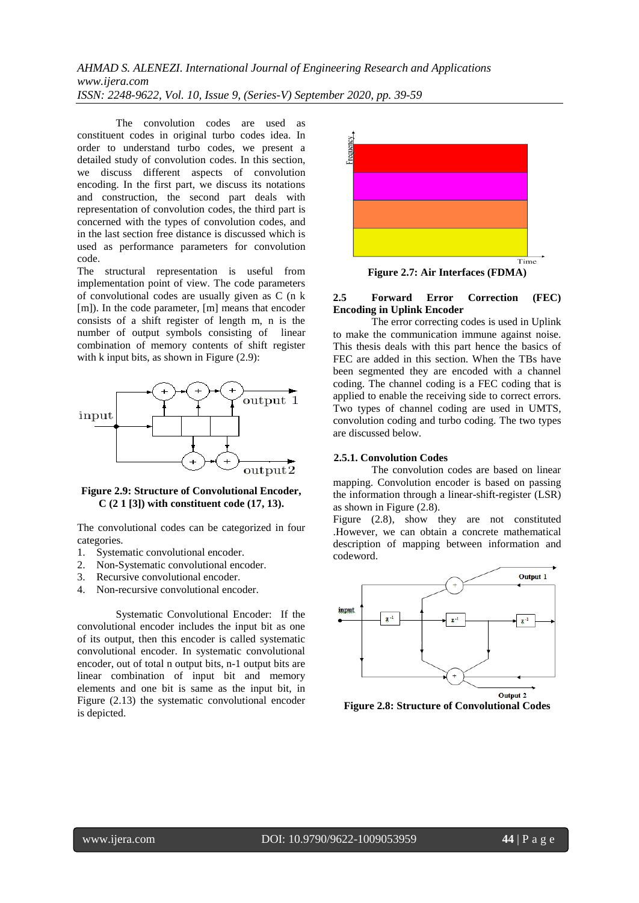The convolution codes are used as constituent codes in original turbo codes idea. In order to understand turbo codes, we present a detailed study of convolution codes. In this section, we discuss different aspects of convolution encoding. In the first part, we discuss its notations and construction, the second part deals with representation of convolution codes, the third part is concerned with the types of convolution codes, and in the last section free distance is discussed which is used as performance parameters for convolution code.

The structural representation is useful from implementation point of view. The code parameters of convolutional codes are usually given as C (n k [m]). In the code parameter, [m] means that encoder consists of a shift register of length m, n is the number of output symbols consisting of linear combination of memory contents of shift register with k input bits, as shown in Figure  $(2.9)$ :



**Figure 2.9: Structure of Convolutional Encoder, C (2 1 [3]) with constituent code (17, 13).**

The convolutional codes can be categorized in four categories.

- 1. Systematic convolutional encoder.
- 2. Non-Systematic convolutional encoder.
- 3. Recursive convolutional encoder.
- 4. Non-recursive convolutional encoder.

Systematic Convolutional Encoder: If the convolutional encoder includes the input bit as one of its output, then this encoder is called systematic convolutional encoder. In systematic convolutional encoder, out of total n output bits, n-1 output bits are linear combination of input bit and memory elements and one bit is same as the input bit, in Figure (2.13) the systematic convolutional encoder is depicted.



**Figure 2.7: Air Interfaces (FDMA)**

### **2.5 Forward Error Correction (FEC) Encoding in Uplink Encoder**

The error correcting codes is used in Uplink to make the communication immune against noise. This thesis deals with this part hence the basics of FEC are added in this section. When the TBs have been segmented they are encoded with a channel coding. The channel coding is a FEC coding that is applied to enable the receiving side to correct errors. Two types of channel coding are used in UMTS, convolution coding and turbo coding. The two types are discussed below.

### **2.5.1. Convolution Codes**

The convolution codes are based on linear mapping. Convolution encoder is based on passing the information through a linear-shift-register (LSR) as shown in Figure (2.8).

Figure  $(2.8)$ , show they are not constituted .However, we can obtain a concrete mathematical description of mapping between information and codeword.



**Figure 2.8: Structure of Convolutional Codes**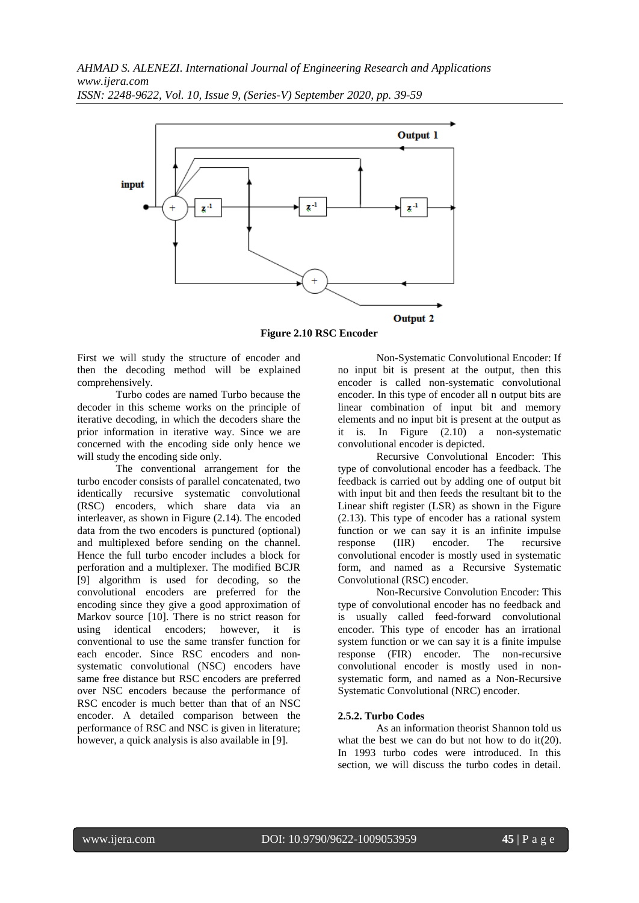

**Figure 2.10 RSC Encoder**

First we will study the structure of encoder and then the decoding method will be explained comprehensively.

Turbo codes are named Turbo because the decoder in this scheme works on the principle of iterative decoding, in which the decoders share the prior information in iterative way. Since we are concerned with the encoding side only hence we will study the encoding side only.

The conventional arrangement for the turbo encoder consists of parallel concatenated, two identically recursive systematic convolutional (RSC) encoders, which share data via an interleaver, as shown in Figure (2.14). The encoded data from the two encoders is punctured (optional) and multiplexed before sending on the channel. Hence the full turbo encoder includes a block for perforation and a multiplexer. The modified BCJR [9] algorithm is used for decoding, so the convolutional encoders are preferred for the encoding since they give a good approximation of Markov source [10]. There is no strict reason for using identical encoders; however, it is conventional to use the same transfer function for each encoder. Since RSC encoders and nonsystematic convolutional (NSC) encoders have same free distance but RSC encoders are preferred over NSC encoders because the performance of RSC encoder is much better than that of an NSC encoder. A detailed comparison between the performance of RSC and NSC is given in literature; however, a quick analysis is also available in [9].

Non-Systematic Convolutional Encoder: If no input bit is present at the output, then this encoder is called non-systematic convolutional encoder. In this type of encoder all n output bits are linear combination of input bit and memory elements and no input bit is present at the output as it is. In Figure (2.10) a non-systematic convolutional encoder is depicted.

Recursive Convolutional Encoder: This type of convolutional encoder has a feedback. The feedback is carried out by adding one of output bit with input bit and then feeds the resultant bit to the Linear shift register (LSR) as shown in the Figure (2.13). This type of encoder has a rational system function or we can say it is an infinite impulse response (IIR) encoder. The recursive convolutional encoder is mostly used in systematic form, and named as a Recursive Systematic Convolutional (RSC) encoder.

Non-Recursive Convolution Encoder: This type of convolutional encoder has no feedback and is usually called feed-forward convolutional encoder. This type of encoder has an irrational system function or we can say it is a finite impulse response (FIR) encoder. The non-recursive convolutional encoder is mostly used in nonsystematic form, and named as a Non-Recursive Systematic Convolutional (NRC) encoder.

### **2.5.2. Turbo Codes**

As an information theorist Shannon told us what the best we can do but not how to do it(20). In 1993 turbo codes were introduced. In this section, we will discuss the turbo codes in detail.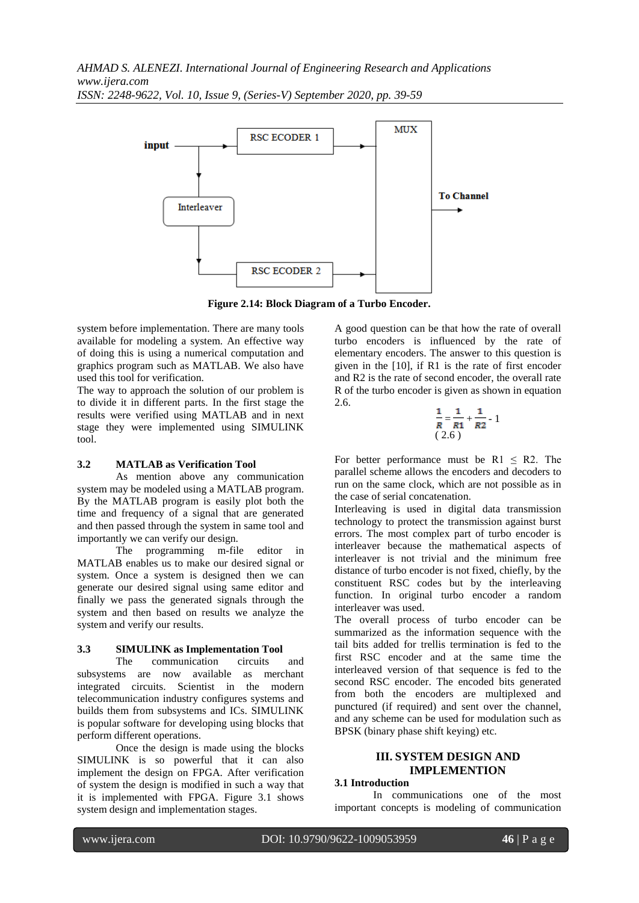

**Figure 2.14: Block Diagram of a Turbo Encoder.**

system before implementation. There are many tools available for modeling a system. An effective way of doing this is using a numerical computation and graphics program such as MATLAB. We also have used this tool for verification.

The way to approach the solution of our problem is to divide it in different parts. In the first stage the results were verified using MATLAB and in next stage they were implemented using SIMULINK tool.

### **3.2 MATLAB as Verification Tool**

As mention above any communication system may be modeled using a MATLAB program. By the MATLAB program is easily plot both the time and frequency of a signal that are generated and then passed through the system in same tool and importantly we can verify our design.

The programming m-file editor in MATLAB enables us to make our desired signal or system. Once a system is designed then we can generate our desired signal using same editor and finally we pass the generated signals through the system and then based on results we analyze the system and verify our results.

# **3.3 SIMULINK as Implementation Tool**

The communication circuits and subsystems are now available as merchant integrated circuits. Scientist in the modern telecommunication industry configures systems and builds them from subsystems and ICs. SIMULINK is popular software for developing using blocks that perform different operations.

Once the design is made using the blocks SIMULINK is so powerful that it can also implement the design on FPGA. After verification of system the design is modified in such a way that it is implemented with FPGA. Figure 3.1 shows system design and implementation stages.

A good question can be that how the rate of overall turbo encoders is influenced by the rate of elementary encoders. The answer to this question is given in the [10], if R1 is the rate of first encoder and R2 is the rate of second encoder, the overall rate R of the turbo encoder is given as shown in equation 2.6.

$$
\frac{1}{R} = \frac{1}{R1} + \frac{1}{R2} - 1
$$
  
(2.6)

For better performance must be  $R1 \leq R2$ . The parallel scheme allows the encoders and decoders to run on the same clock, which are not possible as in the case of serial concatenation.

Interleaving is used in digital data transmission technology to protect the transmission against burst errors. The most complex part of turbo encoder is interleaver because the mathematical aspects of interleaver is not trivial and the minimum free distance of turbo encoder is not fixed, chiefly, by the constituent RSC codes but by the interleaving function. In original turbo encoder a random interleaver was used.

The overall process of turbo encoder can be summarized as the information sequence with the tail bits added for trellis termination is fed to the first RSC encoder and at the same time the interleaved version of that sequence is fed to the second RSC encoder. The encoded bits generated from both the encoders are multiplexed and punctured (if required) and sent over the channel, and any scheme can be used for modulation such as BPSK (binary phase shift keying) etc.

# **III. SYSTEM DESIGN AND IMPLEMENTION**

### **3.1 Introduction**

In communications one of the most important concepts is modeling of communication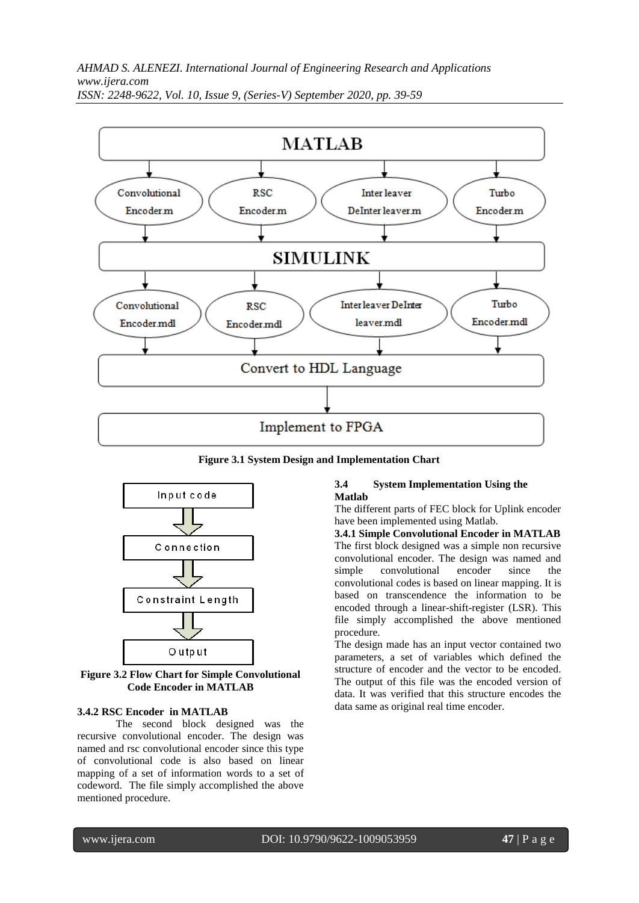

**Figure 3.1 System Design and Implementation Chart**



**Figure 3.2 Flow Chart for Simple Convolutional Code Encoder in MATLAB**

### **3.4.2 RSC Encoder in MATLAB**

The second block designed was the recursive convolutional encoder. The design was named and rsc convolutional encoder since this type of convolutional code is also based on linear mapping of a set of information words to a set of codeword. The file simply accomplished the above mentioned procedure.

#### **3.4 System Implementation Using the Matlab**

The different parts of FEC block for Uplink encoder have been implemented using Matlab.

**3.4.1 Simple Convolutional Encoder in MATLAB** The first block designed was a simple non recursive convolutional encoder. The design was named and simple convolutional encoder since the convolutional codes is based on linear mapping. It is based on transcendence the information to be encoded through a linear-shift-register (LSR). This file simply accomplished the above mentioned procedure.

The design made has an input vector contained two parameters, a set of variables which defined the structure of encoder and the vector to be encoded. The output of this file was the encoded version of data. It was verified that this structure encodes the data same as original real time encoder.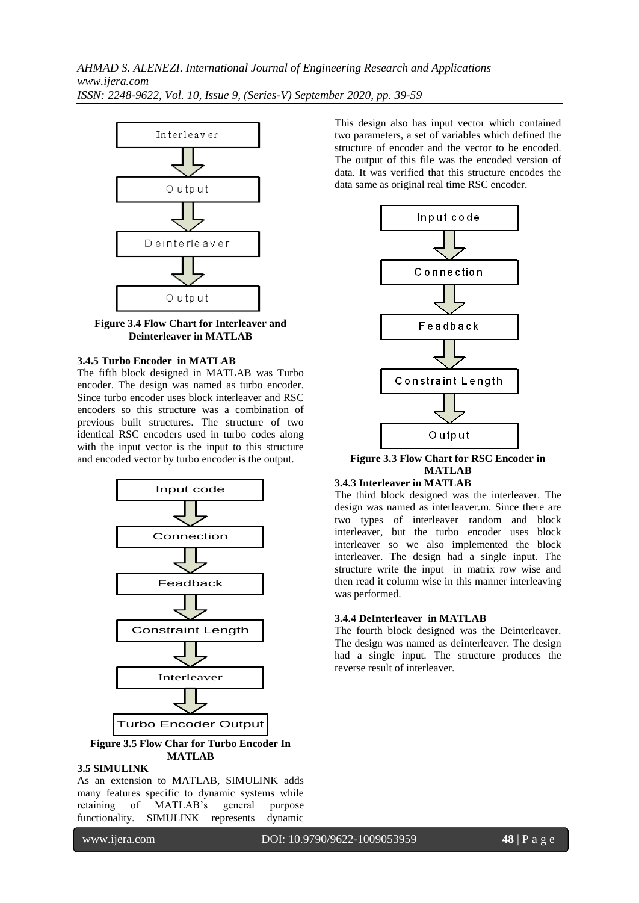

**Figure 3.4 Flow Chart for Interleaver and Deinterleaver in MATLAB**

### **3.4.5 Turbo Encoder in MATLAB**

The fifth block designed in MATLAB was Turbo encoder. The design was named as turbo encoder. Since turbo encoder uses block interleaver and RSC encoders so this structure was a combination of previous built structures. The structure of two identical RSC encoders used in turbo codes along with the input vector is the input to this structure and encoded vector by turbo encoder is the output.



**Figure 3.5 Flow Char for Turbo Encoder In MATLAB**

# **3.5 SIMULINK**

As an extension to MATLAB, SIMULINK adds many features specific to dynamic systems while retaining of MATLAB's general purpose functionality. SIMULINK represents dynamic

This design also has input vector which contained two parameters, a set of variables which defined the structure of encoder and the vector to be encoded. The output of this file was the encoded version of data. It was verified that this structure encodes the data same as original real time RSC encoder.



**Figure 3.3 Flow Chart for RSC Encoder in MATLAB**

### **3.4.3 Interleaver in MATLAB**

The third block designed was the interleaver. The design was named as interleaver.m. Since there are two types of interleaver random and block interleaver, but the turbo encoder uses block interleaver so we also implemented the block interleaver. The design had a single input. The structure write the input in matrix row wise and then read it column wise in this manner interleaving was performed.

#### **3.4.4 DeInterleaver in MATLAB**

The fourth block designed was the Deinterleaver. The design was named as deinterleaver. The design had a single input. The structure produces the reverse result of interleaver.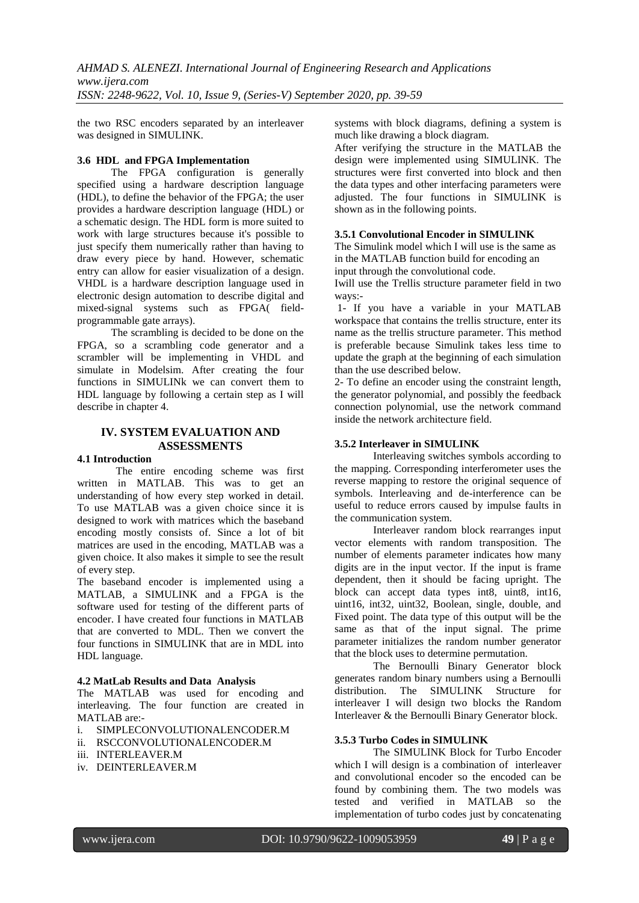the two RSC encoders separated by an interleaver was designed in SIMULINK.

### **3.6 HDL and FPGA Implementation**

The FPGA configuration is generally specified using a [hardware description language](http://en.wikipedia.org/wiki/Hardware_description_language) (HDL), to define the behavior of the FPGA; the user provides a [hardware description language](http://en.wikipedia.org/wiki/Hardware_description_language) (HDL) or a [schematic](http://en.wikipedia.org/wiki/Schematic) design. The HDL form is more suited to work with large structures because it's possible to just specify them numerically rather than having to draw every piece by hand. However, schematic entry can allow for easier visualization of a design. VHDL is a hardware description language used in [electronic design automation](http://en.wikipedia.org/wiki/Electronic_design_automation) to describe [digital](http://en.wikipedia.org/wiki/Digital_electronics) and [mixed-signal](http://en.wikipedia.org/wiki/Mixed-signal_integrated_circuit) systems such as FPGA( [field](http://en.wikipedia.org/wiki/Field-programmable_gate_array)[programmable gate arrays\)](http://en.wikipedia.org/wiki/Field-programmable_gate_array).

The scrambling is decided to be done on the FPGA, so a scrambling code generator and a scrambler will be implementing in VHDL and simulate in Modelsim. After creating the four functions in SIMULINk we can convert them to HDL language by following a certain step as I will describe in chapter 4.

# **IV. SYSTEM EVALUATION AND ASSESSMENTS**

### **4.1 Introduction**

The entire encoding scheme was first written in MATLAB. This was to get an understanding of how every step worked in detail. To use MATLAB was a given choice since it is designed to work with matrices which the baseband encoding mostly consists of. Since a lot of bit matrices are used in the encoding, MATLAB was a given choice. It also makes it simple to see the result of every step.

The baseband encoder is implemented using a MATLAB, a SIMULINK and a FPGA is the software used for testing of the different parts of encoder. I have created four functions in MATLAB that are converted to MDL. Then we convert the four functions in SIMULINK that are in MDL into HDL language.

### **4.2 MatLab Results and Data Analysis**

The MATLAB was used for encoding and interleaving. The four function are created in MATLAB are:-

- i. SIMPLECONVOLUTIONALENCODER.M
- ii. RSCCONVOLUTIONALENCODER.M
- iii. INTERLEAVER.M
- iv. DEINTERLEAVER.M

systems with block diagrams, defining a system is much like drawing a block diagram.

After verifying the structure in the MATLAB the design were implemented using SIMULINK. The structures were first converted into block and then the data types and other interfacing parameters were adjusted. The four functions in SIMULINK is shown as in the following points.

### **3.5.1 Convolutional Encoder in SIMULINK**

The Simulink model which I will use is the same as in the MATLAB function build for encoding an input through the convolutional code.

Iwill use the Trellis structure parameter field in two ways:-

1- If you have a variable in your MATLAB workspace that contains the trellis structure, enter its name as the trellis structure parameter. This method is preferable because Simulink takes less time to update the graph at the beginning of each simulation than the use described below.

2- To define an encoder using the constraint length, the generator polynomial, and possibly the feedback connection polynomial, use the network command inside the network architecture field.

# **3.5.2 Interleaver in SIMULINK**

Interleaving switches symbols according to the mapping. Corresponding interferometer uses the reverse mapping to restore the original sequence of symbols. Interleaving and de-interference can be useful to reduce errors caused by impulse faults in the communication system.

Interleaver random block rearranges input vector elements with random transposition. The number of elements parameter indicates how many digits are in the input vector. If the input is frame dependent, then it should be facing upright. The block can accept data types int8, uint8, int16, uint16, int32, uint32, Boolean, single, double, and Fixed point. The data type of this output will be the same as that of the input signal. The prime parameter initializes the random number generator that the block uses to determine permutation.

The Bernoulli Binary Generator block generates random binary numbers using a Bernoulli distribution. The SIMULINK Structure for interleaver I will design two blocks the Random Interleaver & the Bernoulli Binary Generator block.

### **3.5.3 Turbo Codes in SIMULINK**

The SIMULINK Block for Turbo Encoder which I will design is a combination of interleaver and convolutional encoder so the encoded can be found by combining them. The two models was tested and verified in MATLAB so the implementation of turbo codes just by concatenating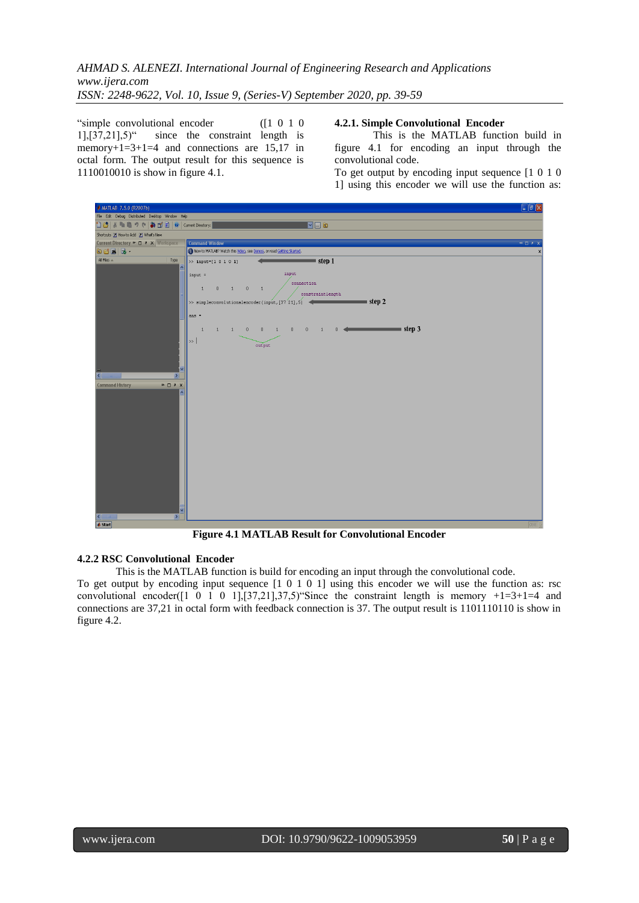"simple convolutional encoder ([1 0 1 0  $1$ ], $[37,21]$ , $5$ <sup>"</sup> since the constraint length is memory+1=3+1=4 and connections are  $15.17$  in octal form. The output result for this sequence is 1110010010 is show in figure 4.1.

### **4.2.1. Simple Convolutional Encoder**

This is the MATLAB function build in figure 4.1 for encoding an input through the convolutional code.

To get output by encoding input sequence [1 0 1 0 1] using this encoder we will use the function as:



**Figure 4.1 MATLAB Result for Convolutional Encoder**

# **4.2.2 RSC Convolutional Encoder**

This is the MATLAB function is build for encoding an input through the convolutional code.

To get output by encoding input sequence [1 0 1 0 1] using this encoder we will use the function as: rsc convolutional encoder( $[1 \ 0 \ 1 \ 0 \ 1], [37,21], 37,5$ ) "Since the constraint length is memory  $+1=3+1=4$  and connections are 37,21 in octal form with feedback connection is 37. The output result is 1101110110 is show in figure 4.2.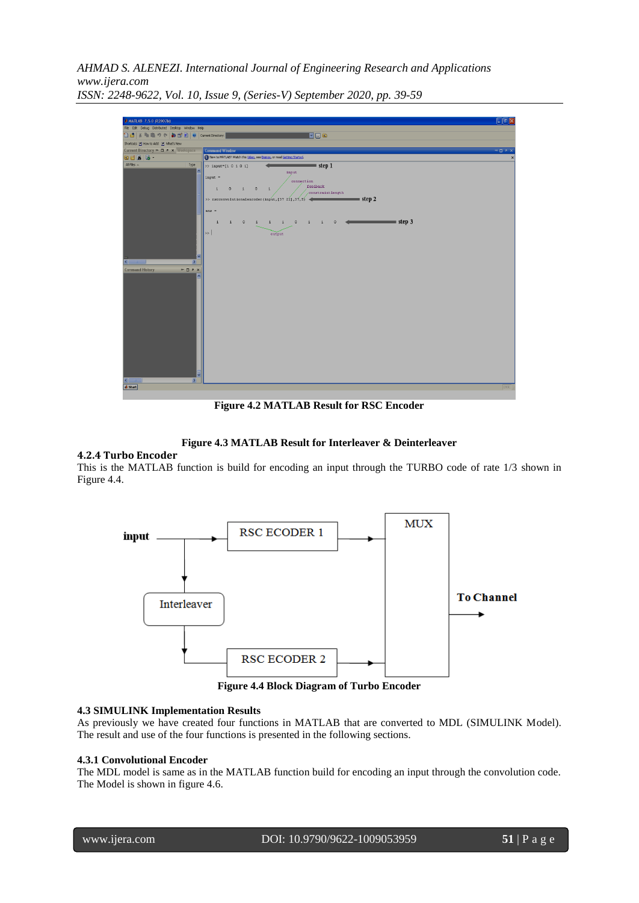| $\Box$ a $\times$<br>A MATLAB 7.5.0 (R2007b)                                                                                        |                                                                                                                                                                                                                                                                                                                                                                                                                                                        |  |  |  |
|-------------------------------------------------------------------------------------------------------------------------------------|--------------------------------------------------------------------------------------------------------------------------------------------------------------------------------------------------------------------------------------------------------------------------------------------------------------------------------------------------------------------------------------------------------------------------------------------------------|--|--|--|
| File Edit Debug Distributed Desktop Window Help                                                                                     |                                                                                                                                                                                                                                                                                                                                                                                                                                                        |  |  |  |
| 18  3  电阻クセ  都西日  O   current Directory:                                                                                            | Voe                                                                                                                                                                                                                                                                                                                                                                                                                                                    |  |  |  |
| Shortcuts 2 How to Add 2 What's New                                                                                                 |                                                                                                                                                                                                                                                                                                                                                                                                                                                        |  |  |  |
| Current Directory ⊯ □ ? × Workspace                                                                                                 | Command Window<br>中日さえ                                                                                                                                                                                                                                                                                                                                                                                                                                 |  |  |  |
| ade B-                                                                                                                              | New to MATLAB? Watch this Video, see Demos, or read Getting Started.                                                                                                                                                                                                                                                                                                                                                                                   |  |  |  |
| All Files =<br>Type                                                                                                                 | $=$ step 1<br>$\gg$ input=[1 0 1 0 1]<br>input<br>$input =$<br>connection<br>feedback<br>$\begin{array}{cccccccccccccc} 1 & 0 & 1 & 0 & 1 \end{array}$<br>constraintlength<br>$\equiv$ step 2<br>>> rscconvolutionalencoder(input, [37 21], 37, 5)<br>$ans =$<br>$\longleftarrow$ step 3<br>$\mathbf{1}$<br>$\hbox{\bf 0}$<br>$1 \quad 1 \quad 1$<br>$\theta$<br>$\mathbf{1}$<br>$\theta$<br>$\mathbf{1}$<br>$\overline{1}$<br>$\rightarrow$<br>output |  |  |  |
| $\langle$<br>$\rightarrow$<br><b>Command History</b><br>$\mathbf{H} \mathbf{H} \mathbf{H} \mathbf{H}$<br>$\sqrt{2}$<br>$\mathbf{z}$ |                                                                                                                                                                                                                                                                                                                                                                                                                                                        |  |  |  |
| <b>4</b> Start                                                                                                                      | <b>OVR</b>                                                                                                                                                                                                                                                                                                                                                                                                                                             |  |  |  |
|                                                                                                                                     |                                                                                                                                                                                                                                                                                                                                                                                                                                                        |  |  |  |

**Figure 4.2 MATLAB Result for RSC Encoder**

### **Figure 4.3 MATLAB Result for Interleaver & Deinterleaver**

### **4.2.4 Turbo Encoder**

This is the MATLAB function is build for encoding an input through the TURBO code of rate 1/3 shown in Figure 4.4.



**Figure 4.4 Block Diagram of Turbo Encoder**

### **4.3 SIMULINK Implementation Results**

As previously we have created four functions in MATLAB that are converted to MDL (SIMULINK Model). The result and use of the four functions is presented in the following sections.

### **4.3.1 Convolutional Encoder**

The MDL model is same as in the MATLAB function build for encoding an input through the convolution code. The Model is shown in figure 4.6.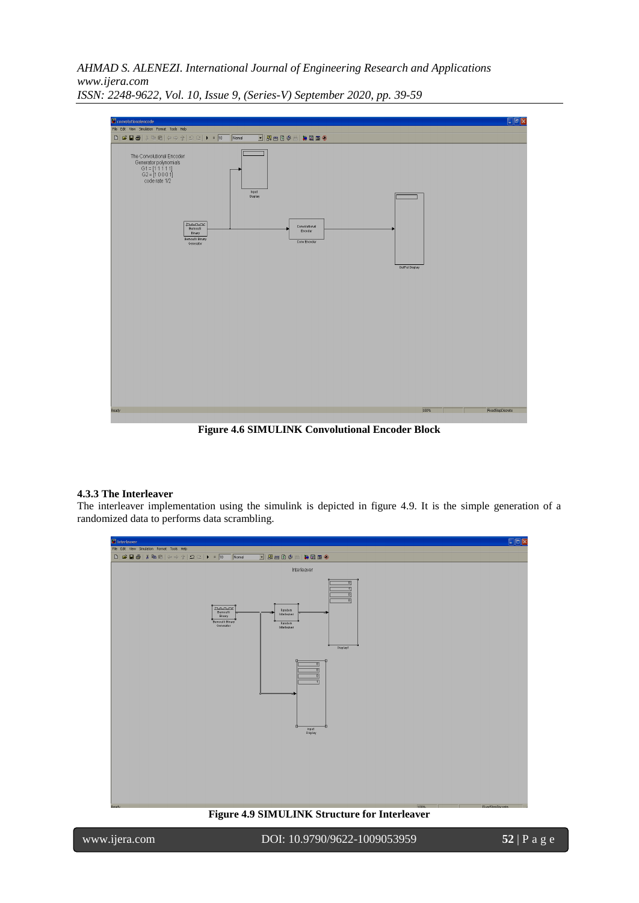

**Figure 4.6 SIMULINK Convolutional Encoder Block**

### **4.3.3 The Interleaver**

The interleaver implementation using the simulink is depicted in figure 4.9. It is the simple generation of a randomized data to performs data scrambling.

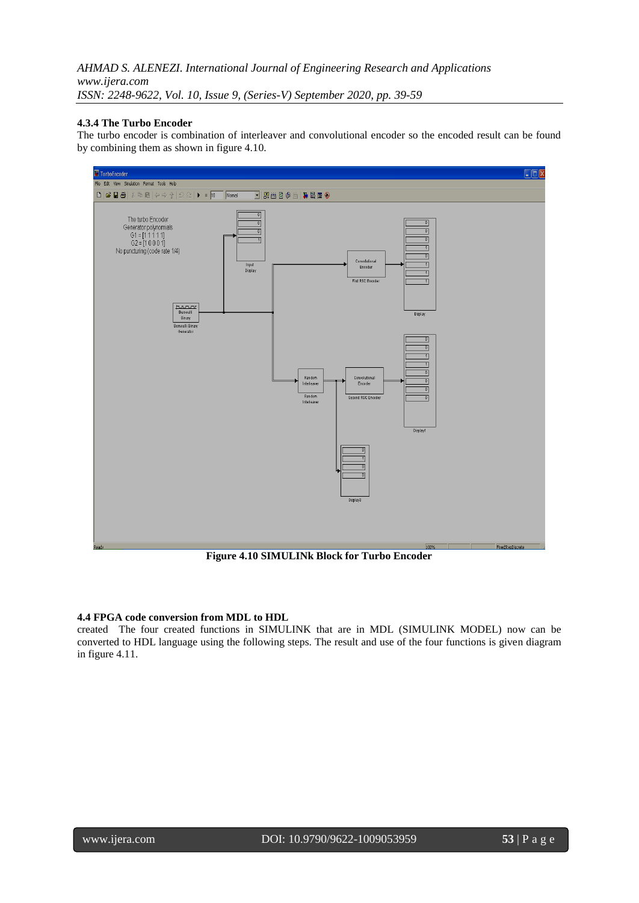### **4.3.4 The Turbo Encoder**

The turbo encoder is combination of interleaver and convolutional encoder so the encoded result can be found by combining them as shown in figure 4.10.



**Figure 4.10 SIMULINk Block for Turbo Encoder**

### **4.4 FPGA code conversion from MDL to HDL**

created The four created functions in SIMULINK that are in MDL (SIMULINK MODEL) now can be converted to HDL language using the following steps. The result and use of the four functions is given diagram in figure 4.11.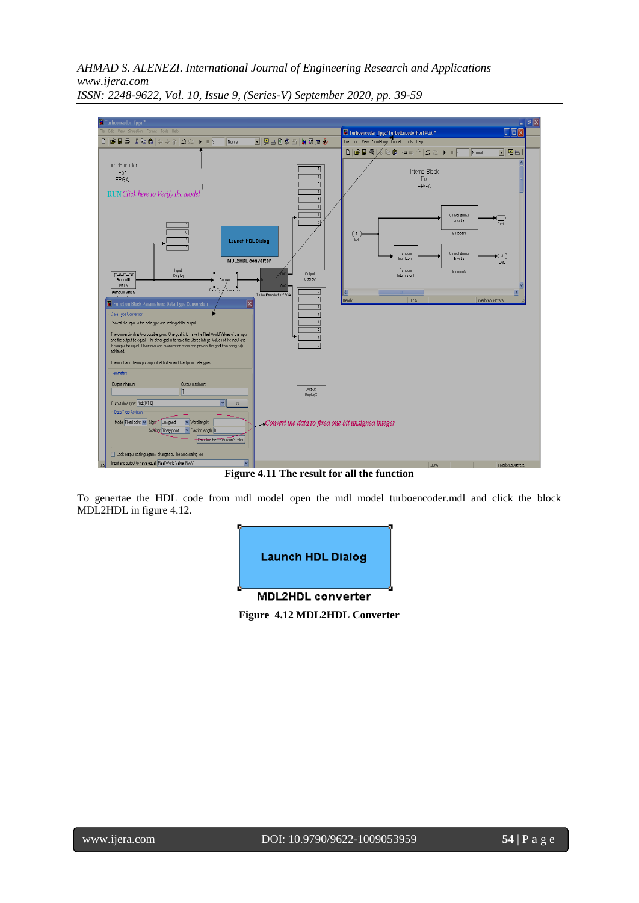*AHMAD S. ALENEZI. International Journal of Engineering Research and Applications www.ijera.com*



*ISSN: 2248-9622, Vol. 10, Issue 9, (Series-V) September 2020, pp. 39-59*

**Figure 4.11 The result for all the function**

To genertae the HDL code from mdl model open the mdl model turboencoder.mdl and click the block MDL2HDL in figure 4.12.